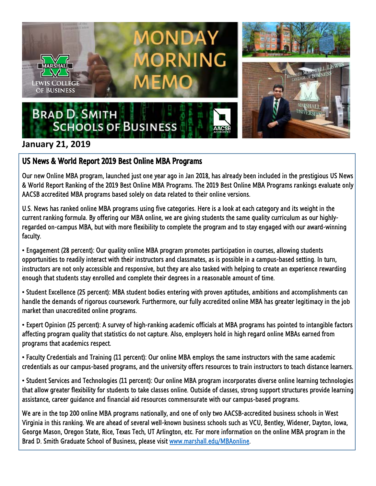

## **January 21, 2019**

## US News & World Report 2019 Best Online MBA Programs

Our new Online MBA program, launched just one year ago in Jan 2018, has already been included in the prestigious US News & World Report Ranking of the 2019 Best Online MBA Programs. The 2019 Best Online MBA Programs rankings evaluate only AACSB accredited MBA programs based solely on data related to their online versions.

U.S. News has ranked online MBA programs using five categories. Here is a look at each category and its weight in the current ranking formula. By offering our MBA online, we are giving students the same quality curriculum as our highlyregarded on-campus MBA, but with more flexibility to complete the program and to stay engaged with our award-winning faculty.

• Engagement (28 percent): Our quality online MBA program promotes participation in courses, allowing students opportunities to readily interact with their instructors and classmates, as is possible in a campus-based setting. In turn, instructors are not only accessible and responsive, but they are also tasked with helping to create an experience rewarding enough that students stay enrolled and complete their degrees in a reasonable amount of time.

• Student Excellence (25 percent): MBA student bodies entering with proven aptitudes, ambitions and accomplishments can handle the demands of rigorous coursework. Furthermore, our fully accredited online MBA has greater legitimacy in the job market than unaccredited online programs.

• Expert Opinion (25 percent): A survey of high-ranking academic officials at MBA programs has pointed to intangible factors affecting program quality that statistics do not capture. Also, employers hold in high regard online MBAs earned from programs that academics respect.

• Faculty Credentials and Training (11 percent): Our online MBA employs the same instructors with the same academic credentials as our campus-based programs, and the university offers resources to train instructors to teach distance learners.

• Student Services and Technologies (11 percent): Our online MBA program incorporates diverse online learning technologies that allow greater flexibility for students to take classes online. Outside of classes, strong support structures provide learning assistance, career guidance and financial aid resources commensurate with our campus-based programs.

We are in the top 200 online MBA programs nationally, and one of only two AACSB-accredited business schools in West Virginia in this ranking. We are ahead of several well-known business schools such as VCU, Bentley, Widener, Dayton, Iowa, George Mason, Oregon State, Rice, Texas Tech, UT Arlington, etc. For more information on the online MBA program in the Brad D. Smith Graduate School of Business, please visit [www.marshall.edu/MBAonline.](http://www.marshall.edu/MBAonline)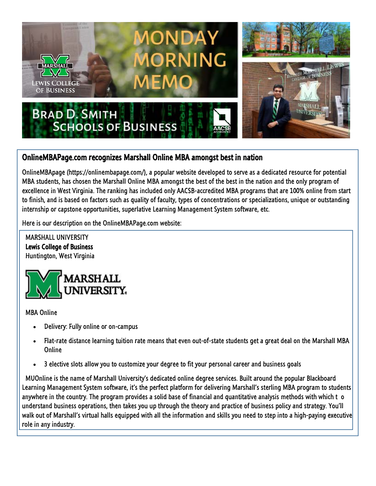

## OnlineMBAPage.com recognizes Marshall Online MBA amongst best in nation

OnlineMBApage (https://onlinembapage.com/), a popular website developed to serve as a dedicated resource for potential MBA students, has chosen the Marshall Online MBA amongst the best of the best in the nation and the only program of excellence in West Virginia. The ranking has included only AACSB-accredited MBA programs that are 100% online from start to finish, and is based on factors such as quality of faculty, types of concentrations or specializations, unique or outstanding internship or capstone opportunities, superlative Learning Management System software, etc.

Here is our description on the OnlineMBAPage.com website:

 MARSHALL UNIVERSITY Lewis College of Business Huntington, West Virginia



MBA Online

- Delivery: Fully online or on-campus
- Flat-rate distance learning tuition rate means that even out-of-state students get a great deal on the Marshall MBA Online
- 3 elective slots allow you to customize your degree to fit your personal career and business goals

 MUOnline is the name of Marshall University's dedicated online degree services. Built around the popular Blackboard Learning Management System software, it's the perfect platform for delivering Marshall's sterling MBA program to students anywhere in the country. The program provides a solid base of financial and quantitative analysis methods with which t o understand business operations, then takes you up through the theory and practice of business policy and strategy. You'll walk out of Marshall's virtual halls equipped with all the information and skills you need to step into a high-paying executive role in any industry.